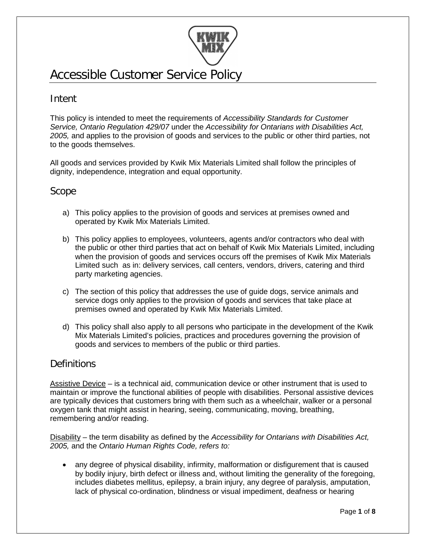

# Accessible Customer Service Policy

# Intent

This policy is intended to meet the requirements of *Accessibility Standards for Customer Service, Ontario Regulation 429/07* under the *Accessibility for Ontarians with Disabilities Act, 2005,* and applies to the provision of goods and services to the public or other third parties, not to the goods themselves.

All goods and services provided by Kwik Mix Materials Limited shall follow the principles of dignity, independence, integration and equal opportunity.

### Scope

- a) This policy applies to the provision of goods and services at premises owned and operated by Kwik Mix Materials Limited.
- b) This policy applies to employees, volunteers, agents and/or contractors who deal with the public or other third parties that act on behalf of Kwik Mix Materials Limited, including when the provision of goods and services occurs off the premises of Kwik Mix Materials Limited such as in: delivery services, call centers, vendors, drivers, catering and third party marketing agencies.
- c) The section of this policy that addresses the use of guide dogs, service animals and service dogs only applies to the provision of goods and services that take place at premises owned and operated by Kwik Mix Materials Limited.
- d) This policy shall also apply to all persons who participate in the development of the Kwik Mix Materials Limited's policies, practices and procedures governing the provision of goods and services to members of the public or third parties.

## **Definitions**

Assistive Device – is a technical aid, communication device or other instrument that is used to maintain or improve the functional abilities of people with disabilities. Personal assistive devices are typically devices that customers bring with them such as a wheelchair, walker or a personal oxygen tank that might assist in hearing, seeing, communicating, moving, breathing, remembering and/or reading.

Disability – the term disability as defined by the *Accessibility for Ontarians with Disabilities Act, 2005,* and the *Ontario Human Rights Code, refers to:*

• any degree of physical disability, infirmity, malformation or disfigurement that is caused by bodily injury, birth defect or illness and, without limiting the generality of the foregoing, includes diabetes mellitus, epilepsy, a brain injury, any degree of paralysis, amputation, lack of physical co-ordination, blindness or visual impediment, deafness or hearing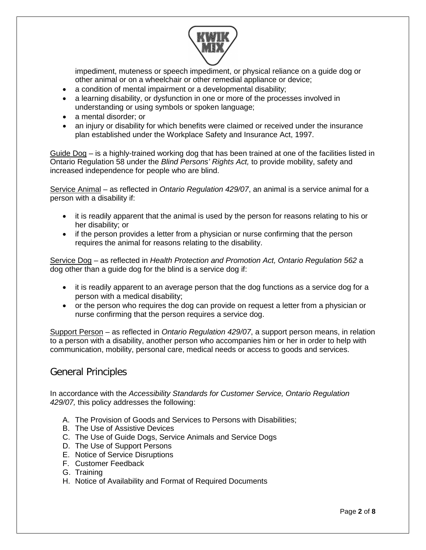

impediment, muteness or speech impediment, or physical reliance on a guide dog or other animal or on a wheelchair or other remedial appliance or device;

- a condition of mental impairment or a developmental disability;
- a learning disability, or dysfunction in one or more of the processes involved in understanding or using symbols or spoken language;
- a mental disorder; or
- an injury or disability for which benefits were claimed or received under the insurance plan established under the Workplace Safety and Insurance Act, 1997.

Guide Dog – is a highly-trained working dog that has been trained at one of the facilities listed in Ontario Regulation 58 under the *Blind Persons' Rights Act,* to provide mobility, safety and increased independence for people who are blind.

Service Animal – as reflected in *Ontario Regulation 429/07*, an animal is a service animal for a person with a disability if:

- it is readily apparent that the animal is used by the person for reasons relating to his or her disability; or
- if the person provides a letter from a physician or nurse confirming that the person requires the animal for reasons relating to the disability.

Service Dog – as reflected in *Health Protection and Promotion Act, Ontario Regulation 562* a dog other than a guide dog for the blind is a service dog if:

- it is readily apparent to an average person that the dog functions as a service dog for a person with a medical disability;
- or the person who requires the dog can provide on request a letter from a physician or nurse confirming that the person requires a service dog.

Support Person – as reflected in *Ontario Regulation 429/07*, a support person means, in relation to a person with a disability, another person who accompanies him or her in order to help with communication, mobility, personal care, medical needs or access to goods and services.

### General Principles

In accordance with the *Accessibility Standards for Customer Service, Ontario Regulation 429/07,* this policy addresses the following:

- A. The Provision of Goods and Services to Persons with Disabilities;
- B. The Use of Assistive Devices
- C. The Use of Guide Dogs, Service Animals and Service Dogs
- D. The Use of Support Persons
- E. Notice of Service Disruptions
- F. Customer Feedback
- G. Training
- H. Notice of Availability and Format of Required Documents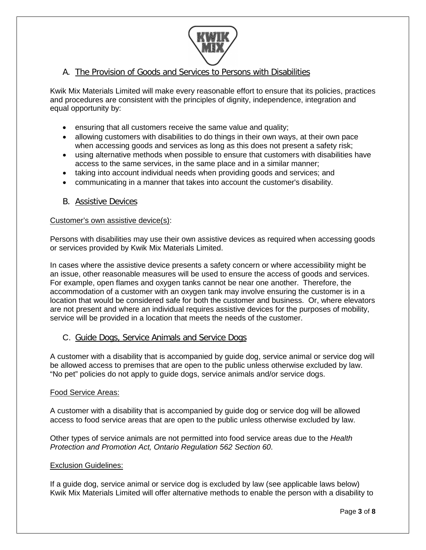

### A. The Provision of Goods and Services to Persons with Disabilities

Kwik Mix Materials Limited will make every reasonable effort to ensure that its policies, practices and procedures are consistent with the principles of dignity, independence, integration and equal opportunity by:

- ensuring that all customers receive the same value and quality;
- allowing customers with disabilities to do things in their own ways, at their own pace when accessing goods and services as long as this does not present a safety risk;
- using alternative methods when possible to ensure that customers with disabilities have access to the same services, in the same place and in a similar manner;
- taking into account individual needs when providing goods and services; and
- communicating in a manner that takes into account the customer's disability.
- B. Assistive Devices

### Customer's own assistive device(s):

Persons with disabilities may use their own assistive devices as required when accessing goods or services provided by Kwik Mix Materials Limited.

In cases where the assistive device presents a safety concern or where accessibility might be an issue, other reasonable measures will be used to ensure the access of goods and services. For example, open flames and oxygen tanks cannot be near one another. Therefore, the accommodation of a customer with an oxygen tank may involve ensuring the customer is in a location that would be considered safe for both the customer and business. Or, where elevators are not present and where an individual requires assistive devices for the purposes of mobility, service will be provided in a location that meets the needs of the customer.

### C. Guide Dogs, Service Animals and Service Dogs

A customer with a disability that is accompanied by guide dog, service animal or service dog will be allowed access to premises that are open to the public unless otherwise excluded by law. "No pet" policies do not apply to guide dogs, service animals and/or service dogs.

### Food Service Areas:

A customer with a disability that is accompanied by guide dog or service dog will be allowed access to food service areas that are open to the public unless otherwise excluded by law.

Other types of service animals are not permitted into food service areas due to the *Health Protection and Promotion Act, Ontario Regulation 562 Section 60*.

### Exclusion Guidelines:

If a guide dog, service animal or service dog is excluded by law (see applicable laws below) Kwik Mix Materials Limited will offer alternative methods to enable the person with a disability to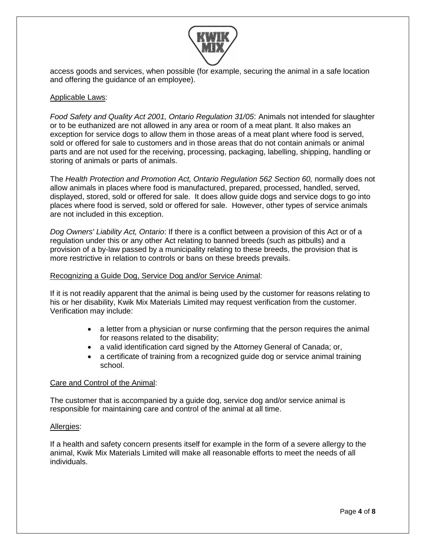

access goods and services, when possible (for example, securing the animal in a safe location and offering the guidance of an employee).

### Applicable Laws:

*Food Safety and Quality Act 2001, Ontario Regulation 31/05*: Animals not intended for slaughter or to be euthanized are not allowed in any area or room of a meat plant. It also makes an exception for service dogs to allow them in those areas of a meat plant where food is served, sold or offered for sale to customers and in those areas that do not contain animals or animal parts and are not used for the receiving, processing, packaging, labelling, shipping, handling or storing of animals or parts of animals.

The *Health Protection and Promotion Act, Ontario Regulation 562 Section 60,* normally does not allow animals in places where food is manufactured, prepared, processed, handled, served, displayed, stored, sold or offered for sale. It does allow guide dogs and service dogs to go into places where food is served, sold or offered for sale. However, other types of service animals are not included in this exception.

*Dog Owners' Liability Act, Ontario*: If there is a conflict between a provision of this Act or of a regulation under this or any other Act relating to banned breeds (such as pitbulls) and a provision of a by-law passed by a municipality relating to these breeds, the provision that is more restrictive in relation to controls or bans on these breeds prevails.

### Recognizing a Guide Dog, Service Dog and/or Service Animal:

If it is not readily apparent that the animal is being used by the customer for reasons relating to his or her disability, Kwik Mix Materials Limited may request verification from the customer. Verification may include:

- a letter from a physician or nurse confirming that the person requires the animal for reasons related to the disability;
- a valid identification card signed by the Attorney General of Canada; or,
- a certificate of training from a recognized guide dog or service animal training school.

### Care and Control of the Animal:

The customer that is accompanied by a guide dog, service dog and/or service animal is responsible for maintaining care and control of the animal at all time.

### Allergies:

If a health and safety concern presents itself for example in the form of a severe allergy to the animal, Kwik Mix Materials Limited will make all reasonable efforts to meet the needs of all individuals.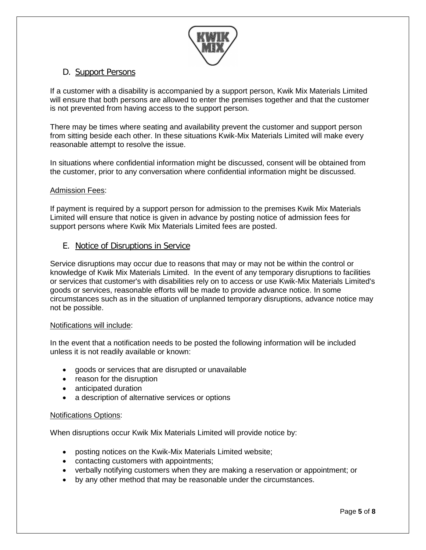

### D. Support Persons

If a customer with a disability is accompanied by a support person, Kwik Mix Materials Limited will ensure that both persons are allowed to enter the premises together and that the customer is not prevented from having access to the support person.

There may be times where seating and availability prevent the customer and support person from sitting beside each other. In these situations Kwik-Mix Materials Limited will make every reasonable attempt to resolve the issue.

In situations where confidential information might be discussed, consent will be obtained from the customer, prior to any conversation where confidential information might be discussed.

### Admission Fees:

If payment is required by a support person for admission to the premises Kwik Mix Materials Limited will ensure that notice is given in advance by posting notice of admission fees for support persons where Kwik Mix Materials Limited fees are posted.

### E. Notice of Disruptions in Service

Service disruptions may occur due to reasons that may or may not be within the control or knowledge of Kwik Mix Materials Limited. In the event of any temporary disruptions to facilities or services that customer's with disabilities rely on to access or use Kwik-Mix Materials Limited's goods or services, reasonable efforts will be made to provide advance notice. In some circumstances such as in the situation of unplanned temporary disruptions, advance notice may not be possible.

### Notifications will include:

In the event that a notification needs to be posted the following information will be included unless it is not readily available or known:

- goods or services that are disrupted or unavailable
- reason for the disruption
- anticipated duration
- a description of alternative services or options

### Notifications Options:

When disruptions occur Kwik Mix Materials Limited will provide notice by:

- posting notices on the Kwik-Mix Materials Limited website;
- contacting customers with appointments;
- verbally notifying customers when they are making a reservation or appointment; or
- by any other method that may be reasonable under the circumstances.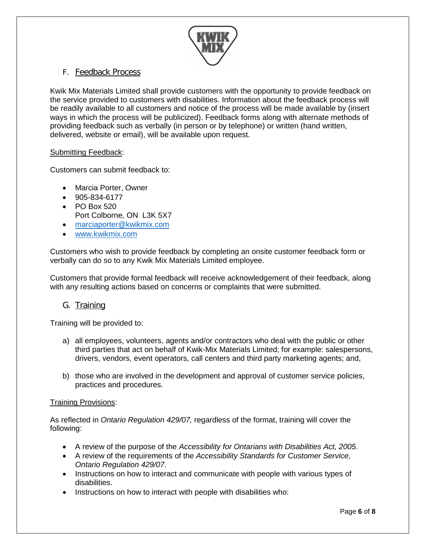

### F. Feedback Process

Kwik Mix Materials Limited shall provide customers with the opportunity to provide feedback on the service provided to customers with disabilities. Information about the feedback process will be readily available to all customers and notice of the process will be made available by (insert ways in which the process will be publicized). Feedback forms along with alternate methods of providing feedback such as verbally (in person or by telephone) or written (hand written, delivered, website or email), will be available upon request.

### Submitting Feedback:

Customers can submit feedback to:

- Marcia Porter, Owner
- 905-834-6177
- PO Box 520
- Port Colborne, ON L3K 5X7
- [marciaporter@kwikmix.com](mailto:marciaporter@kwikmix.com)
- [www.kwikmix.com](http://www.kwikmix.com/)

Customers who wish to provide feedback by completing an onsite customer feedback form or verbally can do so to any Kwik Mix Materials Limited employee.

Customers that provide formal feedback will receive acknowledgement of their feedback, along with any resulting actions based on concerns or complaints that were submitted.

### G. Training

Training will be provided to:

- a) all employees, volunteers, agents and/or contractors who deal with the public or other third parties that act on behalf of Kwik-Mix Materials Limited; for example: salespersons, drivers, vendors, event operators, call centers and third party marketing agents; and,
- b) those who are involved in the development and approval of customer service policies, practices and procedures.

### Training Provisions:

As reflected in *Ontario Regulation 429/07,* regardless of the format, training will cover the following:

- A review of the purpose of the *Accessibility for Ontarians with Disabilities Act, 2005*.
- A review of the requirements of the *Accessibility Standards for Customer Service, Ontario Regulation 429/07*.
- Instructions on how to interact and communicate with people with various types of disabilities.
- Instructions on how to interact with people with disabilities who: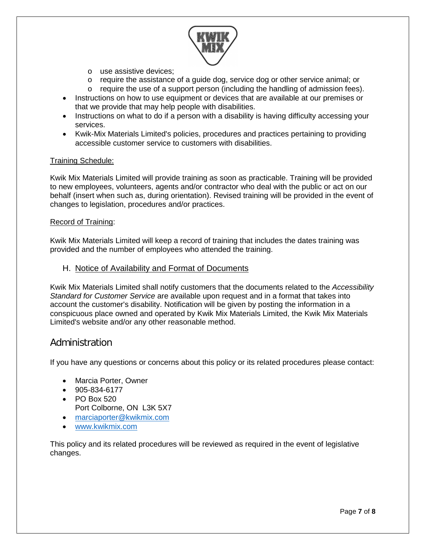

- o use assistive devices;
- o require the assistance of a guide dog, service dog or other service animal; or
- $\circ$  require the use of a support person (including the handling of admission fees).
- Instructions on how to use equipment or devices that are available at our premises or that we provide that may help people with disabilities.
- Instructions on what to do if a person with a disability is having difficulty accessing your services.
- Kwik-Mix Materials Limited's policies, procedures and practices pertaining to providing accessible customer service to customers with disabilities.

### Training Schedule:

Kwik Mix Materials Limited will provide training as soon as practicable. Training will be provided to new employees, volunteers, agents and/or contractor who deal with the public or act on our behalf (insert when such as, during orientation). Revised training will be provided in the event of changes to legislation, procedures and/or practices.

### Record of Training:

Kwik Mix Materials Limited will keep a record of training that includes the dates training was provided and the number of employees who attended the training.

H. Notice of Availability and Format of Documents

Kwik Mix Materials Limited shall notify customers that the documents related to the *Accessibility Standard for Customer Service* are available upon request and in a format that takes into account the customer's disability. Notification will be given by posting the information in a conspicuous place owned and operated by Kwik Mix Materials Limited, the Kwik Mix Materials Limited's website and/or any other reasonable method.

### Administration

If you have any questions or concerns about this policy or its related procedures please contact:

- Marcia Porter, Owner
- 905-834-6177
- PO Box 520
- Port Colborne, ON L3K 5X7
- [marciaporter@kwikmix.com](mailto:marciaporter@kwikmix.com)
- [www.kwikmix.com](http://www.kwikmix.com/)

This policy and its related procedures will be reviewed as required in the event of legislative changes.